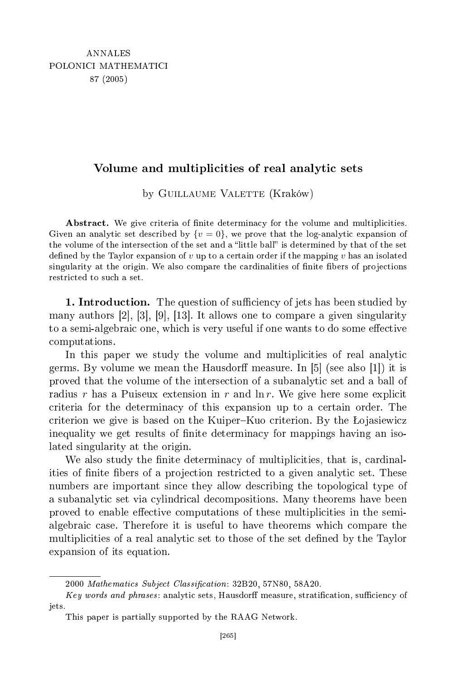## Volume and multiplicities of real analytic sets

by GUILLAUME VALETTE (Kraków)

Abstract. We give criteria of finite determinacy for the volume and multiplicities. Given an analytic set described by  $\{v=0\}$ , we prove that the log-analytic expansion of the volume of the intersection of the set and a "little ball" is determined by that of the set defined by the Taylor expansion of  $v$  up to a certain order if the mapping  $v$  has an isolated singularity at the origin. We also compare the cardinalities of finite fibers of projections restri
ted to su
h a set.

1. Introduction. The question of sufficiency of jets has been studied by many authors  $[2], [3], [9], [13]$ . It allows one to compare a given singularity to a semi-algebraic one, which is very useful if one wants to do some effective omputations.

In this paper we study the volume and multiplicities of real analytic germs. By volume we mean the Hausdorff measure. In  $|5|$  (see also  $|1|$ ) it is proved that the volume of the intersection of a subanalytic set and a ball of radius r has a Puiseux extension in r and  $\ln r$ . We give here some explicit riteria for the determina
y of this expansion up to a ertain order. The criterion we give is based on the Kuiper-Kuo criterion. By the Lojasiewicz inequality we get results of finite determinacy for mappings having an isolated singularity at the origin.

We also study the finite determinacy of multiplicities, that is, cardinalities of finite fibers of a projection restricted to a given analytic set. These numbers are important sin
e they allow des
ribing the topologi
al type of a subanalytic set via cylindrical decompositions. Many theorems have been proved to enable effective computations of these multiplicities in the semialgebraic case. Therefore it is useful to have theorems which compare the multiplicities of a real analytic set to those of the set defined by the Taylor expansion of its equation.

<sup>2000</sup> Mathematics Subject Classification: 32B20, 57N80, 58A20.

<sup>...,</sup> words and phrases sets, have strating and analytic measurement of the strating attention, at iets. jets.

This paper is partially supported by the RAAG Network.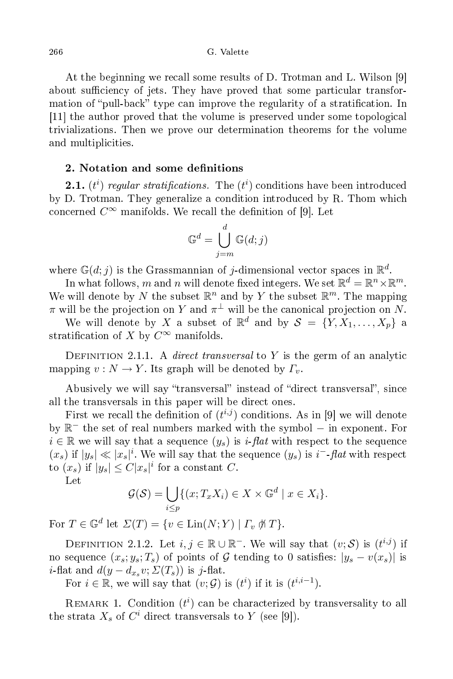At the beginning we recall some results of D. Trotman and L. Wilson [9] about sufficiency of jets. They have proved that some particular transformation of "pull-back" type can improve the regularity of a stratification. In  $[11]$  the author proved that the volume is preserved under some topological trivializations. Then we prove our determination theorems for the volume and multiplicities.

## 2. Notation and some definitions

**2.1.**  $(t^i)$  regular stratifications. The  $(t^i)$  conditions have been introduced by D. Trotman. They generalize a condition introduced by R. Thom which concerned  $C^{\infty}$  manifolds. We recall the definition of [9]. Let

$$
\mathbb{G}^d = \bigcup_{j=m}^d \mathbb{G}(d;j)
$$

where  $\mathbb{G}(d; j)$  is the Grassmannian of j-dimensional vector spaces in  $\mathbb{R}^d$ .

In what follows,  $m$  and  $n$  will denote fixed integers. We set  $\mathbb{R}^d = \mathbb{R}^n \times \mathbb{R}^m$ . We will denote by N the subset  $\mathbb{R}^n$  and by Y the subset  $\mathbb{R}^m$ . The mapping  $\pi$  will be the projection on  $Y$  and  $\pi^\perp$  will be the canonical projection on  $N.$ 

We will denote by  $X$  a subset of  $\mathbb{R}^d$  and by  $\mathcal{S} \ = \ \{Y, X_1, \ldots, X_p\}$  a stratification of X by  $C^{\infty}$  manifolds.

DEFINITION 2.1.1. A *direct transversal* to Y is the germ of an analytic mapping  $v : N \to Y$ . Its graph will be denoted by  $\Gamma_v$ .

Abusively we will say "transversal" instead of "direct transversal", since all the transversals in this paper will be dire
t ones.

First we recall the definition of  $(t^{i,j})$  conditions. As in [9] we will denote by R − the set of real numbers marked with the symbol − in exponent. For  $i \in \mathbb{R}$  we will say that a sequence  $(y_s)$  is i-flat with respect to the sequence  $(x_s)$  if  $|y_s| \ll |x_s|^i$ . We will say that the sequence  $(y_s)$  is  $i^-$ -flat with respect to  $(x_s)$  if  $|y_s| \leq C |x_s|^i$  for a constant C.

Let

$$
\mathcal{G}(\mathcal{S}) = \bigcup_{i \leq p} \{ (x; T_x X_i) \in X \times \mathbb{G}^d \mid x \in X_i \}.
$$

For  $T \in \mathbb{G}^d$  let  $\Sigma(T) = \{v \in \text{Lin}(N;Y) \mid \Gamma_v \nparallel T\}.$ 

DEFINITION 2.1.2. Let  $i, j \in \mathbb{R} \cup \mathbb{R}^-$ . We will say that  $(v; \mathcal{S})$  is  $(t^{i,j})$  if no sequence  $(x_s, y_s; T_s)$  of points of G tending to 0 satisfies:  $|y_s - v(x_s)|$  is *i*-flat and  $d(y - d_{x_s} v; \Sigma(T_s))$  is j-flat.

For  $i \in \mathbb{R}$ , we will say that  $(v; \mathcal{G})$  is  $(t^i)$  if it is  $(t^{i,i-1})$ .

REMARK 1. Condition  $(t^i)$  can be characterized by transversality to all the strata  $X_s$  of  $C^i$  direct transversals to Y (see [9]).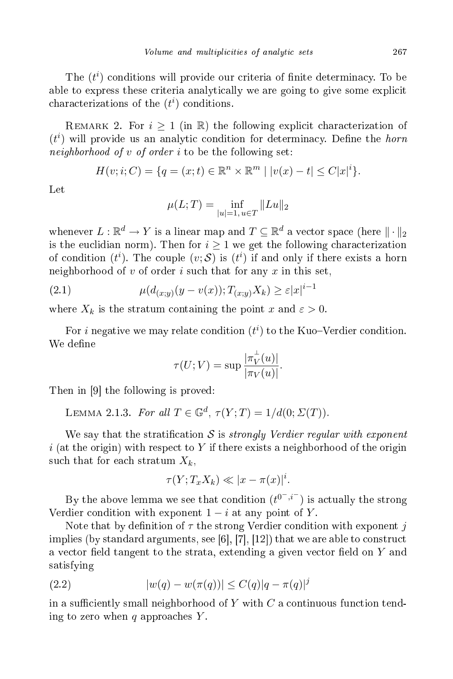The  $(t^i)$  conditions will provide our criteria of finite determinacy. To be able to express these criteria analytically we are going to give some explicit characterizations of the  $(t<sup>i</sup>)$  conditions.

REMARK 2. For  $i \geq 1$  (in R) the following explicit characterization of  $(t^i)$  will provide us an analytic condition for determinacy. Define the *horn* neighborhood of  $v$  of order  $i$  to be the following set:

$$
H(v; i; C) = \{q = (x; t) \in \mathbb{R}^n \times \mathbb{R}^m \mid |v(x) - t| \le C|x|^i\}.
$$

 $Let$ 

$$
\mu(L;T) = \inf_{|u|=1, u \in T} ||Lu||_2
$$

whenever  $L: \mathbb{R}^d \to Y$  is a linear map and  $T \subseteq \mathbb{R}^d$  a vector space (here  $\| \cdot \|_2$ is the euclidian norm). Then for  $i \geq 1$  we get the following characterization of condition  $(t^i)$ . The couple  $(v; S)$  is  $(t^i)$  if and only if there exists a horn neighborhood of  $v$  of order  $i$  such that for any  $x$  in this set,

(2.1) 
$$
\mu(d_{(x;y)}(y - v(x)); T_{(x;y)}X_k) \ge \varepsilon |x|^{i-1}
$$

where  $X_k$  is the stratum containing the point x and  $\varepsilon > 0$ .

For  $i$  negative we may relate condition  $(t^i)$  to the Kuo–Verdier condition. We define

$$
\tau(U;V) = \sup \frac{|\pi_V^{\perp}(u)|}{|\pi_V(u)|}.
$$

Then in [9] the following is proved:

LEMMA 2.1.3. For all  $T \in \mathbb{G}^d$ ,  $\tau(Y;T) = 1/d(0;\Sigma(T))$ .

We say that the stratification S is *strongly Verdier regular with exponent* i (at the origin) with respect to Y if there exists a neighborhood of the origin such that for each stratum  $X_k$ ,

$$
\tau(Y; T_x X_k) \ll |x - \pi(x)|^i.
$$

By the above lemma we see that condition  $(t^{0^{-},i^{-}})$  is actually the strong Verdier condition with exponent  $1-i$  at any point of Y.

Note that by definition of  $\tau$  the strong Verdier condition with exponent j implies (by standard arguments, see [6], [7], [12]) that we are able to construct a vector field tangent to the strata, extending a given vector field on  $Y$  and satisfying

(2.2) 
$$
|w(q) - w(\pi(q))| \le C(q)|q - \pi(q)|^j
$$

in a sufficiently small neighborhood of  $Y$  with  $C$  a continuous function tending to zero when q approaches  $Y$ .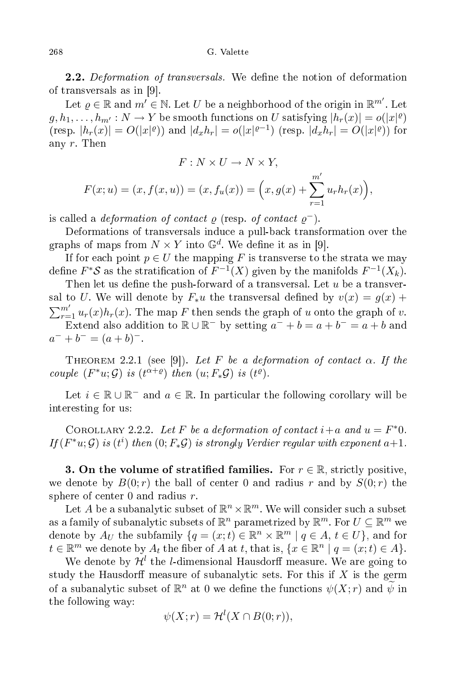## G. Valette

2.2. Deformation of transversals. We define the notion of deformation of transversals as in  $[9]$ .

Let  $\varrho\in\mathbb{R}$  and  $m'\in\mathbb{N}.$  Let  $U$  be a neighborhood of the origin in  $\mathbb{R}^{m'}.$  Let  $g, h_1, \ldots, h_{m'} : N \to Y$  be smooth functions on  $U$  satisfying  $|h_r(x)| = o(|x|^{\varrho})$ (resp.  $|h_r(x)| = O(|x|^{\rho})$ ) and  $|d_x h_r| = o(|x|^{\rho-1})$  (resp.  $|d_x h_r| = O(|x|^{\rho})$ ) for any r. Then

$$
F: N \times U \to N \times Y,
$$

$$
F(x; u) = (x, f(x, u)) = (x, f_u(x)) = (x, g(x) + \sum_{r=1}^{m'} u_r h_r(x)),
$$

is called a *deformation of contact*  $\varrho$  (resp. of contact  $\varrho^{-}$ ).

Deformations of transversals indu
e a pull-ba
k transformation over the graphs of maps from  $N \times Y$  into  $\mathbb{G}^d$ . We define it as in [9].

If for each point  $p \in U$  the mapping F is transverse to the strata we may define  $F^*S$  as the stratification of  $F^{-1}(X)$  given by the manifolds  $F^{-1}(X_k)$ .

Then let us define the push-forward of a transversal. Let  $u$  be a transversal to U. We will denote by  $F_*u$  the transversal defined by  $v(x) = g(x) +$  $\sum_{r=1}^{m'} u_r(x)h_r(x)$ . The map F then sends the graph of u onto the graph of v. Extend also addition to  $\mathbb{R} \cup \mathbb{R}^-$  by setting  $a^- + b = a + b^- = a + b$  and  $a^{-} + b^{-} = (a + b)^{-}$ .

THEOREM 2.2.1 (see [9]). Let F be a deformation of contact  $\alpha$ . If the couple  $(F^*u; \mathcal{G})$  is  $(t^{\alpha+\varrho})$  then  $(u; F_*\mathcal{G})$  is  $(t^{\varrho})$ .

Let  $i \in \mathbb{R} \cup \mathbb{R}^-$  and  $a \in \mathbb{R}$ . In particular the following corollary will be interesting for us:

COROLLARY 2.2.2. Let F be a deformation of contact  $i+a$  and  $u = F^*0$ . If  $(F^*u; \mathcal{G})$  is  $(t^i)$  then  $(0; F_*\mathcal{G})$  is strongly Verdier regular with exponent  $a+1$ .

**3. On the volume of stratified families.** For  $r \in \mathbb{R}$ , strictly positive, we denote by  $B(0; r)$  the ball of center 0 and radius r and by  $S(0; r)$  the sphere of enter 0 and radius r.

Let A be a subanalytic subset of  $\mathbb{R}^n \times \mathbb{R}^m$ . We will consider such a subset as a family of subanalytic subsets of  $\mathbb{R}^n$  parametrized by  $\mathbb{R}^m$ . For  $U \subseteq \mathbb{R}^m$  we denote by  $A_U$  the subfamily  $\{q = (x;t) \in \mathbb{R}^n \times \mathbb{R}^m \mid q \in A, t \in U\}$ , and for  $t \in \mathbb{R}^m$  we denote by  $A_t$  the fiber of A at t, that is,  $\{x \in \mathbb{R}^n \mid q = (x;t) \in A\}.$ 

We denote by  $\mathcal{H}^l$  the  $l$ -dimensional Hausdorff measure. We are going to study the Hausdorff measure of subanalytic sets. For this if  $X$  is the germ of a subanalytic subset of  $\mathbb{R}^n$  at  $0$  we define the functions  $\psi(X;r)$  and  $\widetilde{\psi}$  in the following way:

$$
\psi(X; r) = \mathcal{H}^l(X \cap B(0; r)),
$$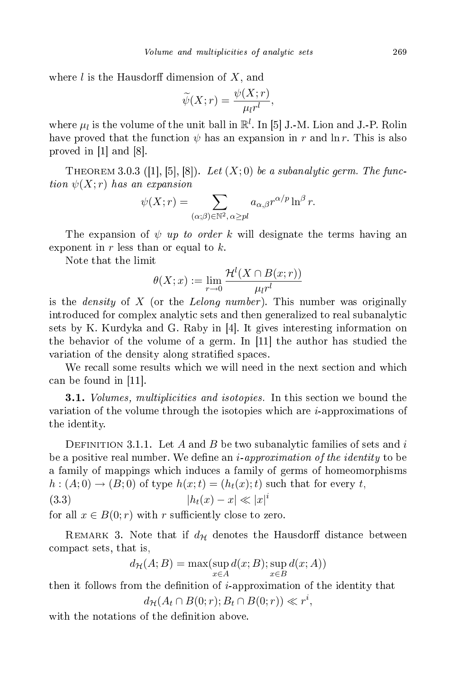where  $l$  is the Hausdorff dimension of  $X$ , and

$$
\widetilde{\psi}(X;r) = \frac{\psi(X;r)}{\mu_l r^l},
$$

where  $\mu_l$  is the volume of the unit ball in  $\mathbb{R}^l$ . In [5] J.-M. Lion and J.-P. Rolin have proved that the function  $\psi$  has an expansion in r and  $\ln r$ . This is also proved in  $[1]$  and  $[8]$ .

THEOREM 3.0.3 ([1], [5], [8]). Let  $(X;0)$  be a subanalytic germ. The function  $\psi(X; r)$  has an expansion

$$
\psi(X; r) = \sum_{(\alpha; \beta) \in \mathbb{N}^2, \alpha \geq pl} a_{\alpha, \beta} r^{\alpha/p} \ln^{\beta} r.
$$

The expansion of  $\psi$  up to order k will designate the terms having an exponent in  $r$  less than or equal to  $k$ .

Note that the limit

$$
\theta(X; x) := \lim_{r \to 0} \frac{\mathcal{H}^l(X \cap B(x; r))}{\mu_l r^l}
$$

is the *density* of X (or the *Lelong number*). This number was originally introduced for complex analytic sets and then generalized to real subanalytic sets by K. Kurdyka and G. Raby in  $[4]$ . It gives interesting information on the behavior of the volume of a germ. In  $[11]$  the author has studied the variation of the density along stratified spaces.

We recall some results which we will need in the next section and which can be found in  $[11]$ .

**3.1.** Volumes, multiplicities and isotopies. In this section we bound the variation of the volume through the isotopies which are  $i$ -approximations of the identity.

DEFINITION 3.1.1. Let A and B be two subanalytic families of sets and i be a positive real number. We define an  $i$ -approximation of the identity to be a family of mappings which induces a family of germs of homeomorphisms  $h:(A;0)\to (B;0)$  of type  $h(x;t) = (h_t(x);t)$  such that for every t,

$$
(3.3) \t\t\t |h_t(x) - x| \ll |x|^i
$$

for all  $x \in B(0; r)$  with r sufficiently close to zero.

REMARK 3. Note that if  $d_{\mathcal{H}}$  denotes the Hausdorff distance between ompa
t sets, that is,

$$
d_{\mathcal{H}}(A;B) = \max(\sup_{x \in A} d(x;B); \sup_{x \in B} d(x;A))
$$

then it follows from the definition of  $i$ -approximation of the identity that  $d_{\mathcal{H}}(A_t \cap B(0; r); B_t \cap B(0; r)) \ll r^i,$ 

with the notations of the definition above.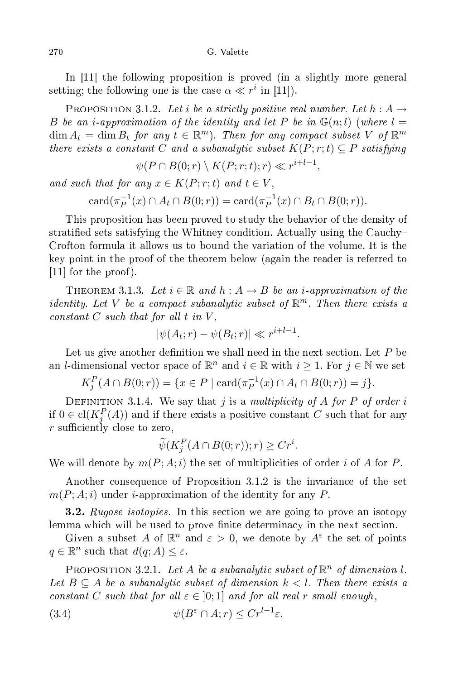G. Valette

In  $[11]$  the following proposition is proved (in a slightly more general setting; the following one is the case  $\alpha \ll r^i$  in [11]).

PROPOSITION 3.1.2. Let *i* be a strictly positive real number. Let  $h : A \rightarrow$ B be an *i*-approximation of the identity and let P be in  $\mathbb{G}(n; l)$  (where  $l =$  $\dim A_t = \dim B_t$  for any  $t \in \mathbb{R}^m$ . Then for any compact subset V of  $\mathbb{R}^m$ there exists a constant C and a subanalytic subset  $K(P; r; t) \subseteq P$  satisfying

 $\psi(P \cap B(0; r) \setminus K(P; r; t); r) \ll r^{i+l-1},$ 

and such that for any  $x \in K(P; r; t)$  and  $t \in V$ ,

 $\mathrm{card}(\pi_P^{-1}$  $P_P^{-1}(x) \cap A_t \cap B(0; r) = \text{card}(\pi_P^{-1})$  $E_P^{-1}(x) \cap B_t \cap B(0;r)$ .

This proposition has been proved to study the behavior of the density of stratified sets satisfying the Whitney condition. Actually using the Cauchy-Crofton formula it allows us to bound the variation of the volume. It is the key point in the proof of the theorem below (again the reader is referred to  $[11]$  for the proof).

THEOREM 3.1.3. Let  $i \in \mathbb{R}$  and  $h : A \rightarrow B$  be an i-approximation of the identity. Let V be a compact subanalytic subset of  $\mathbb{R}^m$ . Then there exists a constant  $C$  such that for all  $t$  in  $V$ ,

$$
|\psi(A_t; r) - \psi(B_t; r)| \ll r^{i+l-1}.
$$

Let us give another definition we shall need in the next section. Let  $P$  be an *l*-dimensional vector space of  $\mathbb{R}^n$  and  $i \in \mathbb{R}$  with  $i \geq 1$ . For  $j \in \mathbb{N}$  we set

 $K_j^P(A \cap B(0;r)) = \{x \in P \mid \text{card}(\pi_P^{-1}(x) \cap A_t \cap B(0;r)) = j\}.$ 

DEFINITION 3.1.4. We say that j is a multiplicity of A for P of order i if  $0 \in \text{cl}(K_j^P(A))$  and if there exists a positive constant C such that for any  $r$  sufficiently close to zero,

$$
\widetilde{\psi}(K_j^P(A \cap B(0;r));r) \ge Cr^i.
$$

We will denote by  $m(P; A; i)$  the set of multiplicities of order i of A for P.

Another onsequen
e of Proposition 3.1.2 is the invarian
e of the set  $m(P; A; i)$  under *i*-approximation of the identity for any P.

**3.2.** Rugose isotopies. In this section we are going to prove an isotopy lemma which will be used to prove finite determinacy in the next section.

Given a subset A of  $\mathbb{R}^n$  and  $\varepsilon > 0$ , we denote by  $A^{\varepsilon}$  the set of points  $q \in \mathbb{R}^n$  such that  $d(q; A) \leq \varepsilon$ .

PROPOSITION 3.2.1. Let A be a subanalytic subset of  $\mathbb{R}^n$  of dimension l. Let  $B \subseteq A$  be a subanalytic subset of dimension  $k < l$ . Then there exists a constant C such that for all  $\varepsilon \in [0;1]$  and for all real r small enough,

(3.4) 
$$
\psi(B^{\varepsilon} \cap A; r) \leq Cr^{l-1}\varepsilon.
$$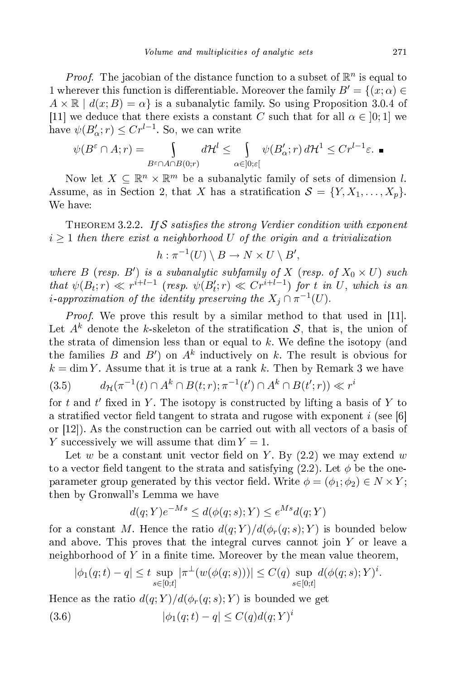*Proof.* The jacobian of the distance function to a subset of  $\mathbb{R}^n$  is equal to 1 wherever this function is differentiable. Moreover the family  $B' = \{(x; \alpha) \in$  $A \times \mathbb{R}$  |  $d(x; B) = \alpha$  is a subanalytic family. So using Proposition 3.0.4 of [11] we deduce that there exists a constant C such that for all  $\alpha \in [0;1]$  we have  $\psi(B'_\alpha;r) \leq Cr^{l-1}$ . So, we can write

$$
\psi(B^{\varepsilon} \cap A; r) = \int_{B^{\varepsilon} \cap A \cap B(0; r)} d\mathcal{H}^{l} \leq \int_{\alpha \in ]0; \varepsilon[} \psi(B'_{\alpha}; r) d\mathcal{H}^{1} \leq C r^{l-1} \varepsilon.
$$

Now let  $X \subseteq \mathbb{R}^n \times \mathbb{R}^m$  be a subanalytic family of sets of dimension l. Assume, as in Section 2, that X has a stratification  $S = \{Y, X_1, \ldots, X_p\}.$ We have:

THEOREM 3.2.2. If S satisfies the strong Verdier condition with exponent  $i \geq 1$  then there exist a neighborhood U of the origin and a trivialization

$$
h: \pi^{-1}(U) \setminus B \to N \times U \setminus B',
$$

where  $B$  (resp.  $B'$ ) is a subanalytic subfamily of X (resp. of  $X_0 \times U$ ) such that  $\psi(B_t; r) \ll r^{i+l-1}$  (resp.  $\psi(B'_t; r) \ll Cr^{i+l-1}$ ) for t in U, which is an *i*-approximation of the identity preserving the  $X_j \cap \pi^{-1}(U)$ .

*Proof.* We prove this result by a similar method to that used in [11]. Let  $A^k$  denote the k-skeleton of the stratification S, that is, the union of the strata of dimension less than or equal to  $k$ . We define the isotopy (and the families  $B$  and  $B'$ ) on  $A^k$  inductively on  $k$ . The result is obvious for  $k = \dim Y$ . Assume that it is true at a rank k. Then by Remark 3 we have (3.5)  $d_{\mathcal{H}}(\pi^{-1}(t) \cap A^k \cap B(t;r); \pi^{-1}(t') \cap A^k \cap B(t';r)) \ll r^i$ 

for  $t$  and  $t'$  fixed in  $Y$ . The isotopy is constructed by lifting a basis of  $Y$  to a stratified vector field tangent to strata and rugose with exponent i (see [6] or  $(12)$ . As the construction can be carried out with all vectors of a basis of Y successively we will assume that  $\dim Y = 1$ .

Let w be a constant unit vector field on Y. By  $(2.2)$  we may extend w to a vector field tangent to the strata and satisfying  $(2.2)$ . Let  $\phi$  be the oneparameter group generated by this vector field. Write  $\phi = (\phi_1; \phi_2) \in N \times Y$ ; then by Gronwall's Lemma we have

$$
d(q;Y)e^{-Ms} \le d(\phi(q;s);Y) \le e^{Ms}d(q;Y)
$$

for a constant M. Hence the ratio  $d(q;Y)/d(\phi_r(q;s);Y)$  is bounded below and above. This proves that the integral curves cannot join  $Y$  or leave a neighborhood of  $Y$  in a finite time. Moreover by the mean value theorem,

$$
|\phi_1(q;t) - q| \le t \sup_{s \in [0;t]} |\pi^{\perp}(w(\phi(q;s)))| \le C(q) \sup_{s \in [0;t]} d(\phi(q;s);Y)^i.
$$

Hence as the ratio  $d(q;Y)/d(\phi_r(q;s);Y)$  is bounded we get

(3.6)  $|\phi_1(q;t) - q| \le C(q)d(q;Y)^i$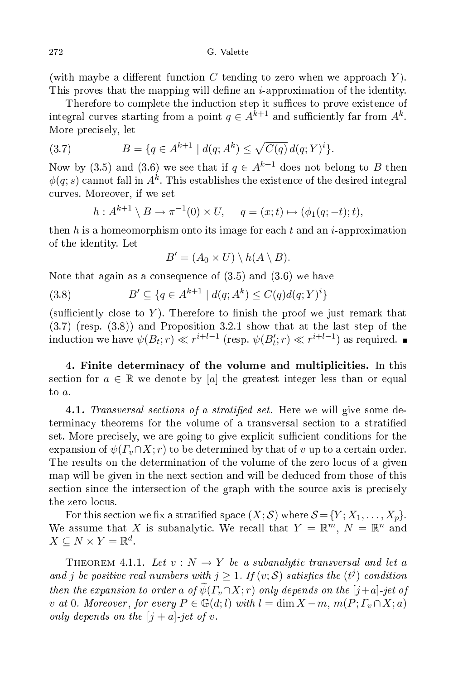(with maybe a different function C tending to zero when we approach  $Y$ ). This proves that the mapping will define an *i*-approximation of the identity.

Therefore to complete the induction step it suffices to prove existence of integral curves starting from a point  $q \in A^{k+1}$  and sufficiently far from  $A^k$ . More pre
isely, let

(3.7) 
$$
B = \{q \in A^{k+1} \mid d(q; A^k) \leq \sqrt{C(q)} d(q; Y)^i\}.
$$

Now by (3.5) and (3.6) we see that if  $q \in A^{k+1}$  does not belong to B then  $\phi(q;s)$  cannot fall in  $A^k.$  This establishes the existence of the desired integral curves. Moreover, if we set urves. Moreover, if we set  $\mathcal{M}^{\mathcal{M}}$  we set  $\mathcal{M}^{\mathcal{M}}$  we set  $\mathcal{M}^{\mathcal{M}}$  we set  $\mathcal{M}^{\mathcal{M}}$ 

$$
h: A^{k+1} \setminus B \to \pi^{-1}(0) \times U, \quad q = (x; t) \mapsto (\phi_1(q; -t); t),
$$

then h is a homeomorphism onto its image for each t and an i-approximation of the identity. Let

$$
B' = (A_0 \times U) \setminus h(A \setminus B).
$$

Note that again as a onsequen
e of (3.5) and (3.6) we have

(3.8) 
$$
B' \subseteq \{q \in A^{k+1} \mid d(q; A^k) \le C(q)d(q; Y)^i\}
$$

(sufficiently close to Y). Therefore to finish the proof we just remark that (3.7) (resp. (3.8)) and Proposition 3.2.1 show that at the last step of the induction we have  $\psi(B_t; r) \ll r^{i+l-1}$  (resp.  $\psi(B'_t; r) \ll r^{i+l-1}$ ) as required.

4. Finite determinacy of the volume and multiplicities. In this section for  $a \in \mathbb{R}$  we denote by [a] the greatest integer less than or equal to a.

4.1. Transversal sections of a stratified set. Here we will give some determinacy theorems for the volume of a transversal section to a stratified set. More precisely, we are going to give explicit sufficient conditions for the expansion of  $\psi(F_v \cap X; r)$  to be determined by that of v up to a certain order. The results on the determination of the volume of the zero locus of a given map will be given in the next se
tion and will be dedu
ed from those of this section since the intersection of the graph with the source axis is precisely the zero locus.

For this section we fix a stratified space  $(X; S)$  where  $S = \{Y; X_1, \ldots, X_p\}$ . We assume that X is subanalytic. We recall that  $Y = \mathbb{R}^m$ ,  $N = \mathbb{R}^n$  and  $X \subseteq N \times Y = \mathbb{R}^d$ .

THEOREM 4.1.1. Let  $v : N \to Y$  be a subanalytic transversal and let a and j be positive real numbers with  $j \geq 1$ . If  $(v; S)$  satisfies the  $(t<sup>j</sup>)$  condition then the expansion to order a of  $\widetilde{\psi}(\Gamma_v \cap X; r)$  only depends on the [j+a]-jet of v at 0. Moreover, for every  $P \in \mathbb{G}(d; l)$  with  $l = \dim X - m$ ,  $m(P; \Gamma_v \cap X; a)$ only depends on the  $[j + a]$ -jet of v.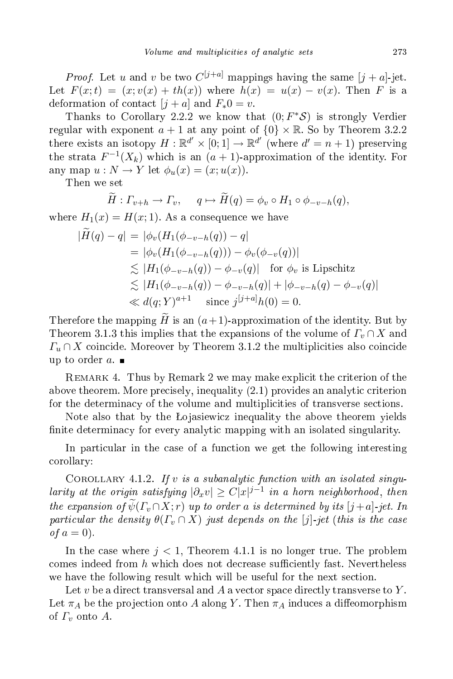*Proof.* Let u and v be two  $C^{[j+a]}$  mappings having the same  $[j+a]$ -jet. Let  $F(x;t) = (x; v(x) + th(x))$  where  $h(x) = u(x) - v(x)$ . Then F is a deformation of contact  $[j + a]$  and  $F_*0 = v$ .

Thanks to Corollary 2.2.2 we know that  $(0; F^*S)$  is strongly Verdier regular with exponent  $a + 1$  at any point of  $\{0\} \times \mathbb{R}$ . So by Theorem 3.2.2 there exists an isotopy  $H: \mathbb{R}^{d'} \times [0;1] \to \mathbb{R}^{d'}$  (where  $d' = n + 1$ ) preserving the strata  $F^{-1}(X_k)$  which is an  $(a + 1)$ -approximation of the identity. For any map  $u: N \to Y$  let  $\phi_u(x) = (x; u(x))$ .

Then we set

$$
\widetilde{H}: \Gamma_{v+h} \to \Gamma_v, \quad q \mapsto \widetilde{H}(q) = \phi_v \circ H_1 \circ \phi_{-v-h}(q),
$$

where  $H_1(x) = H(x; 1)$ . As a consequence we have

$$
|\widetilde{H}(q) - q| = |\phi_v(H_1(\phi_{-v-h}(q)) - q|\n= |\phi_v(H_1(\phi_{-v-h}(q))) - \phi_v(\phi_{-v}(q))|\n\lesssim |H_1(\phi_{-v-h}(q)) - \phi_{-v}(q)| \text{ for } \phi_v \text{ is Lipschitz}\n\lesssim |H_1(\phi_{-v-h}(q)) - \phi_{-v-h}(q)| + |\phi_{-v-h}(q) - \phi_{-v}(q)|\n\ll d(q; Y)^{a+1} \text{ since } j^{[j+a]}h(0) = 0.
$$

Therefore the mapping  $\widetilde{H}$  is an  $(a+1)$ -approximation of the identity. But by Theorem 3.1.3 this implies that the expansions of the volume of  $\Gamma_v \cap X$  and  $\Gamma_u \cap X$  coincide. Moreover by Theorem 3.1.2 the multiplicities also coincide up to order  $a$ .

REMARK 4. Thus by Remark 2 we may make explicit the criterion of the above theorem. More precisely, inequality (2.1) provides an analytic criterion for the determinacy of the volume and multiplicities of transverse sections.

Note also that by the Lojasiewicz inequality the above theorem yields finite determinacy for every analytic mapping with an isolated singularity.

In particular in the case of a function we get the following interesting orollary:

COROLLARY 4.1.2. If v is a subanalytic function with an isolated singularity at the origin satisfying  $|\partial_x v| \geq C |x|^{j-1}$  in a horn neighborhood, then the expansion of  $\widetilde{\psi}(F_v \cap X; r)$  up to order a is determined by its  $[j+a]$ -jet. In particular the density  $\theta(\Gamma_v \cap X)$  just depends on the [j]-jet (this is the case of  $a=0$ ).

In the case where  $j < 1$ , Theorem 4.1.1 is no longer true. The problem comes indeed from  $h$  which does not decrease sufficiently fast. Nevertheless we have the following result which will be useful for the next section.

Let  $v$  be a direct transversal and  $A$  a vector space directly transverse to  $Y$ . Let  $\pi_A$  be the projection onto A along Y. Then  $\pi_A$  induces a diffeomorphism of  $\Gamma_v$  onto A.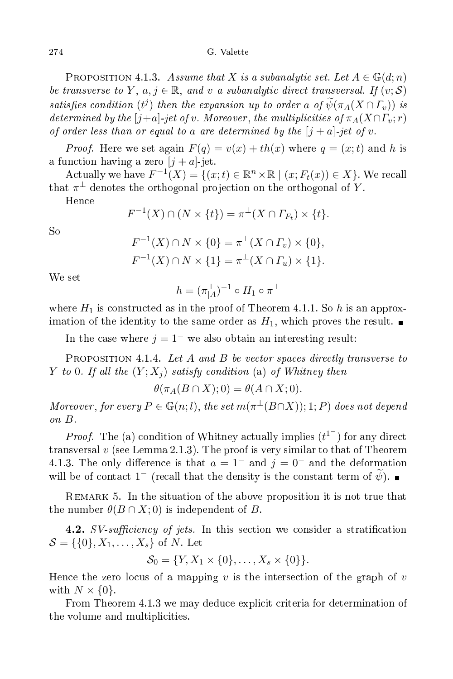PROPOSITION 4.1.3. Assume that X is a subanalytic set. Let  $A \in \mathbb{G}(d;n)$ be transverse to Y,  $a, j \in \mathbb{R}$ , and v a subanalytic direct transversal. If  $(v; S)$ satisfies condition (t<sup>j</sup>) then the expansion up to order a of  $\psi(\pi_A(X \cap \Gamma_v))$  is determined by the [j+a]-jet of v. Moreover, the multiplicities of  $\pi_A(X \cap \Gamma_v; r)$ of order less than or equal to a are determined by the  $[j + a]$ -jet of v.

*Proof.* Here we set again  $F(q) = v(x) + th(x)$  where  $q = (x, t)$  and h is a function having a zero  $[j + a]$ -jet.

Actually we have  $F^{-1}(X) = \{(x; t) \in \mathbb{R}^n \times \mathbb{R} \mid (x; F_t(x)) \in X\}$ . We recall that  $\pi^{\perp}$  denotes the orthogonal projection on the orthogonal of  $Y.$ 

Hence

$$
F^{-1}(X) \cap (N \times \{t\}) = \pi^{\perp}(X \cap \varGamma_{F_t}) \times \{t\}.
$$

 $So$ 

$$
F^{-1}(X) \cap N \times \{0\} = \pi^{\perp}(X \cap \Gamma_v) \times \{0\},
$$
  

$$
F^{-1}(X) \cap N \times \{1\} = \pi^{\perp}(X \cap \Gamma_u) \times \{1\}.
$$

$$
h=(\pi_{|A}^\perp)^{-1}\circ H_1\circ\pi^\perp
$$

where  $H_1$  is constructed as in the proof of Theorem 4.1.1. So h is an approximation of the identity to the same order as  $H_1$ , which proves the result.

In the case where  $j = 1^-$  we also obtain an interesting result:

PROPOSITION 4.1.4. Let  $A$  and  $B$  be vector spaces directly transverse to Y to 0. If all the  $(Y; X_i)$  satisfy condition (a) of Whitney then

$$
\theta(\pi_A(B \cap X);0) = \theta(A \cap X;0).
$$

Moreover, for every  $P \in \mathbb{G}(n;l)$ , the set  $m(\pi^{\perp}(B \cap X)); 1; P$  does not depend on B.

*Proof.* The (a) condition of Whitney actually implies  $(t^1)$  for any direct transversal  $v$  (see Lemma 2.1.3). The proof is very similar to that of Theorem 4.1.3. The only difference is that  $a = 1^-$  and  $j = 0^-$  and the deformation will be of contact  $1^-$  (recall that the density is the constant term of  $\tilde{\psi}$ ).

Remark 5. In the situation of the above proposition it is not true that the number  $\theta(B \cap X; 0)$  is independent of B.

**4.2.** SV-sufficiency of jets. In this section we consider a stratification  $S = \{\{0\}, X_1, \ldots, X_s\}$  of N. Let

$$
S_0 = \{Y, X_1 \times \{0\}, \dots, X_s \times \{0\}\}.
$$

Hence the zero locus of a mapping v is the intersection of the graph of v with  $N \times \{0\}$ .

From Theorem 4.1.3 we may deduce explicit criteria for determination of the volume and multiplicities.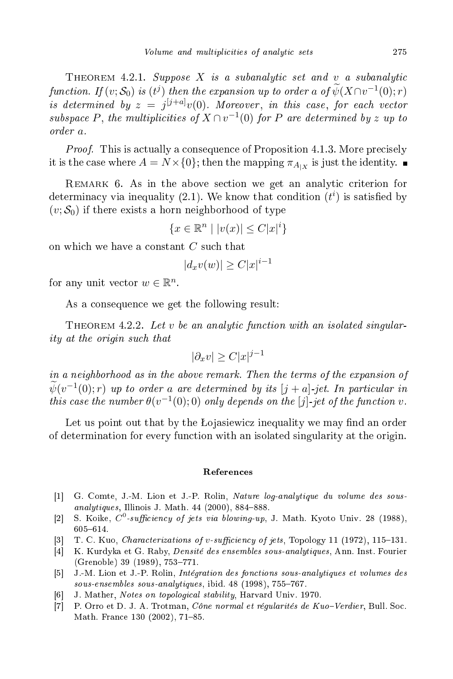THEOREM 4.2.1. Suppose X is a subanalytic set and v a subanalytic function. If  $(v; \mathcal{S}_0)$  is  $(t^j)$  then the expansion up to order a of  $\psi(X \cap v^{-1}(0); r)$ is determined by  $z = j^{[j+a]}v(0)$ . Moreover, in this case, for each vector subspace P, the multiplicities of  $X \cap v^{-1}(0)$  for P are determined by z up to order a.

*Proof.* This is actually a consequence of Proposition 4.1.3. More precisely it is the case where  $A=N\times\{0\};$  then the mapping  $\pi_{A_{|X}}$  is just the identity.

Remark 6. As in the above se
tion we get an analyti riterion for determinacy via inequality (2.1). We know that condition  $(t^i)$  is satisfied by  $(v; S_0)$  if there exists a horn neighborhood of type

$$
\{x \in \mathbb{R}^n \mid |v(x)| \le C|x|^i\}
$$

on which we have a constant C such that

$$
|d_xv(w)| \ge C|x|^{i-1}
$$

for any unit vector  $w \in \mathbb{R}^n$ .

As a consequence we get the following result:

THEOREM 4.2.2. Let v be an analytic function with an isolated singularity at the origin such that

$$
|\partial_x v| \ge C |x|^{j-1}
$$

in a neighborhood as in the above remark. Then the terms of the expansion of  $\overline{\psi}(v^{-1}(0);r)$  up to order a are determined by its  $[j+a]$ -jet. In particular in this case the number  $\theta(v^{-1}(0);0)$  only depends on the [j]-jet of the function v.

Let us point out that by the Lojasiewicz inequality we may find an order of determination for every fun
tion with an isolated singularity at the origin.

## Referen
es

- [1] G. Comte, J.-M. Lion et J.-P. Rolin, Nature log-analytique du volume des sousanalytiques, Illinois J. Math.  $44$  (2000), 884-888.
- [2] S. Koike,  $C^0$ -sufficiency of jets via blowing-up, J. Math. Kyoto Univ. 28 (1988), 605-614.
- [3] T. C. Kuo, *Characterizations of v-sufficiency of jets*, Topology 11 (1972), 115–131.
- [4] K. Kurdyka et G. Raby, *Densité des ensembles sous-analytiques*, Ann. Inst. Fourier  $(Grenoble)$  39  $(1989)$ , 753-771.
- [5] J.-M. Lion et J.-P. Rolin, *Intégration des fonctions sous-analytiques et volumes des* sous-ensembles sous-analytiques, ibid. 48 (1998), 755767.
- [6] J. Mather, Notes on topological stability, Harvard Univ. 1970.
- [7] P. Orro et D. J. A. Trotman,  $C\hat{o}$ ne normal et régularités de Kuo-Verdier, Bull. Soc. Math. France 130 (2002), 71-85.